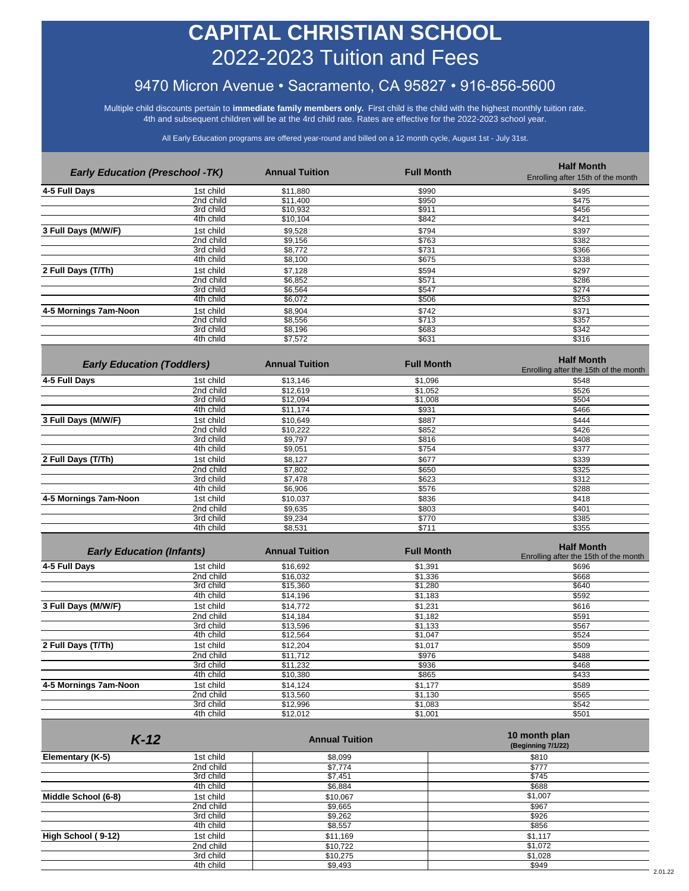# **CAPITAL CHRISTIAN SCHOOL** 2022-2023 Tuition and Fees

## 9470 Micron Avenue • Sacramento, CA 95827 • 916-856-5600

Multiple child discounts pertain to **immediate family members only***.* First child is the child with the highest monthly tuition rate. 4th and subsequent children will be at the 4rd child rate. Rates are effective for the 2022-2023 school year.

All Early Education programs are offered year-round and billed on a 12 month cycle, August 1st - July 31st.

| <b>Early Education (Preschool -TK)</b> |           | <b>Annual Tuition</b> | <b>Full Month</b> | <b>Half Month</b><br>Enrolling after 15th of the month |
|----------------------------------------|-----------|-----------------------|-------------------|--------------------------------------------------------|
| 4-5 Full Days                          | 1st child | \$11,880              | \$990             | \$495                                                  |
|                                        | 2nd child | \$11,400              | \$950             | \$475                                                  |
|                                        | 3rd child | \$10,932              | \$911             | \$456                                                  |
|                                        | 4th child | \$10,104              | \$842             | \$421                                                  |
| 3 Full Days (M/W/F)                    | 1st child | \$9,528               | \$794             | \$397                                                  |
|                                        | 2nd child | \$9,156               | \$763             | \$382                                                  |
|                                        | 3rd child | \$8,772               | \$731             | \$366                                                  |
|                                        | 4th child | \$8,100               | \$675             | \$338                                                  |
| 2 Full Days (T/Th)                     | 1st child | \$7,128               | \$594             | \$297                                                  |
|                                        | 2nd child | \$6,852               | \$571             | \$286                                                  |
|                                        | 3rd child | \$6,564               | \$547             | \$274                                                  |
|                                        | 4th child | \$6,072               | \$506             | \$253                                                  |
| 4-5 Mornings 7am-Noon                  | 1st child | \$8,904               | \$742             | \$371                                                  |
|                                        | 2nd child | \$8,556               | \$713             | \$357                                                  |
|                                        | 3rd child | \$8,196               | \$683             | \$342                                                  |
|                                        | 4th child | \$7,572               | \$631             | \$316                                                  |

| <b>Early Education (Toddlers)</b> |           | <b>Annual Tuition</b> | <b>Full Month</b> | <b>Half Month</b><br>Enrolling after the 15th of the month |
|-----------------------------------|-----------|-----------------------|-------------------|------------------------------------------------------------|
| 4-5 Full Days                     | 1st child | \$13,146              | \$1,096           | \$548                                                      |
|                                   | 2nd child | \$12,619              | \$1,052           | \$526                                                      |
|                                   | 3rd child | \$12,094              | \$1,008           | \$504                                                      |
|                                   | 4th child | \$11,174              | \$931             | \$466                                                      |
| 3 Full Days (M/W/F)               | 1st child | \$10,649              | \$887             | \$444                                                      |
|                                   | 2nd child | \$10,222              | \$852             | \$426                                                      |
|                                   | 3rd child | \$9,797               | \$816             | \$408                                                      |
|                                   | 4th child | \$9,051               | \$754             | \$377                                                      |
| 2 Full Days (T/Th)                | 1st child | \$8,127               | \$677             | \$339                                                      |
|                                   | 2nd child | \$7,802               | \$650             | \$325                                                      |
|                                   | 3rd child | \$7,478               | \$623             | \$312                                                      |
|                                   | 4th child | \$6,906               | \$576             | \$288                                                      |
| 4-5 Mornings 7am-Noon             | 1st child | \$10,037              | \$836             | \$418                                                      |
|                                   | 2nd child | \$9,635               | \$803             | \$401                                                      |
|                                   | 3rd child | \$9,234               | \$770             | \$385                                                      |
|                                   | 4th child | \$8,531               | \$711             | \$355                                                      |

| <b>Early Education (Infants)</b> |           | <b>Annual Tuition</b> | <b>Full Month</b> | <b>Half Month</b><br>Enrolling after the 15th of the month |
|----------------------------------|-----------|-----------------------|-------------------|------------------------------------------------------------|
| 4-5 Full Days                    | 1st child | \$16,692              | \$1,391           | \$696                                                      |
|                                  | 2nd child | \$16,032              | \$1,336           | \$668                                                      |
|                                  | 3rd child | \$15,360              | \$1,280           | \$640                                                      |
|                                  | 4th child | \$14,196              | \$1,183           | \$592                                                      |
| 3 Full Days (M/W/F)              | 1st child | \$14,772              | \$1,231           | \$616                                                      |
|                                  | 2nd child | \$14,184              | \$1,182           | \$591                                                      |
|                                  | 3rd child | \$13,596              | \$1,133           | \$567                                                      |
|                                  | 4th child | \$12,564              | \$1,047           | \$524                                                      |
| 2 Full Days (T/Th)               | 1st child | \$12,204              | \$1,017           | \$509                                                      |
|                                  | 2nd child | \$11,712              | \$976             | \$488                                                      |
|                                  | 3rd child | \$11,232              | \$936             | \$468                                                      |
|                                  | 4th child | \$10,380              | \$865             | \$433                                                      |
| 4-5 Mornings 7am-Noon            | 1st child | \$14,124              | \$1,177           | \$589                                                      |
|                                  | 2nd child | \$13,560              | \$1,130           | \$565                                                      |
|                                  | 3rd child | \$12,996              | \$1,083           | \$542                                                      |
|                                  | 4th child | \$12,012              | \$1,001           | \$501                                                      |

|                     | $K-12$    | <b>Annual Tuition</b> | 10 month plan<br>(Beginning 7/1/22) |
|---------------------|-----------|-----------------------|-------------------------------------|
| Elementary (K-5)    | 1st child | \$8,099               | \$810                               |
|                     | 2nd child | \$7,774               | \$777                               |
|                     | 3rd child | \$7,451               | \$745                               |
|                     | 4th child | \$6,884               | \$688                               |
| Middle School (6-8) | 1st child | \$10,067              | \$1,007                             |
|                     | 2nd child | \$9,665               | \$967                               |
|                     | 3rd child | \$9,262               | \$926                               |
|                     | 4th child | \$8,557               | \$856                               |
| High School (9-12)  | 1st child | \$11,169              | \$1,117                             |
|                     | 2nd child | \$10,722              | \$1,072                             |
|                     | 3rd child | \$10,275              | \$1,028                             |
|                     | 4th child | \$9,493               | \$949                               |